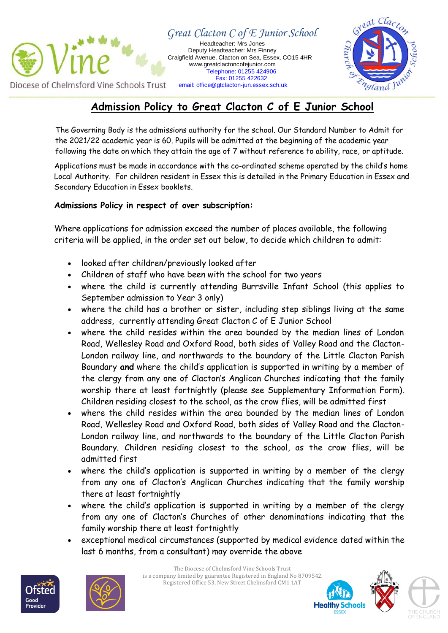

*Great Clacton C of E Junior School* Headteacher: Mrs Jones Deputy Headteacher: Mrs Finney Craigfield Avenue, Clacton on Sea, Essex, CO15 4HR www.greatclactoncofejunior.com Telephone: 01255 424906 Fax: 01255 422632 email: office@gtclacton-jun.essex.sch.uk



## **Admission Policy to Great Clacton C of E Junior School**

The Governing Body is the admissions authority for the school. Our Standard Number to Admit for the 2021/22 academic year is 60. Pupils will be admitted at the beginning of the academic year following the date on which they attain the age of 7 without reference to ability, race, or aptitude.

Applications must be made in accordance with the co-ordinated scheme operated by the child's home Local Authority. For children resident in Essex this is detailed in the Primary Education in Essex and Secondary Education in Essex booklets.

## **Admissions Policy in respect of over subscription:**

Where applications for admission exceed the number of places available, the following criteria will be applied, in the order set out below, to decide which children to admit:

- looked after children/previously looked after
- Children of staff who have been with the school for two years
- where the child is currently attending Burrsville Infant School (this applies to September admission to Year 3 only)
- where the child has a brother or sister, including step siblings living at the same address, currently attending Great Clacton C of E Junior School
- where the child resides within the area bounded by the median lines of London Road, Wellesley Road and Oxford Road, both sides of Valley Road and the Clacton-London railway line, and northwards to the boundary of the Little Clacton Parish Boundary **and** where the child's application is supported in writing by a member of the clergy from any one of Clacton's Anglican Churches indicating that the family worship there at least fortnightly (please see Supplementary Information Form). Children residing closest to the school, as the crow flies, will be admitted first
- where the child resides within the area bounded by the median lines of London Road, Wellesley Road and Oxford Road, both sides of Valley Road and the Clacton-London railway line, and northwards to the boundary of the Little Clacton Parish Boundary. Children residing closest to the school, as the crow flies, will be admitted first
- where the child's application is supported in writing by a member of the clergy from any one of Clacton's Anglican Churches indicating that the family worship there at least fortnightly
- where the child's application is supported in writing by a member of the clergy from any one of Clacton's Churches of other denominations indicating that the family worship there at least fortnightly
- exceptional medical circumstances (supported by medical evidence dated within the last 6 months, from a consultant) may override the above